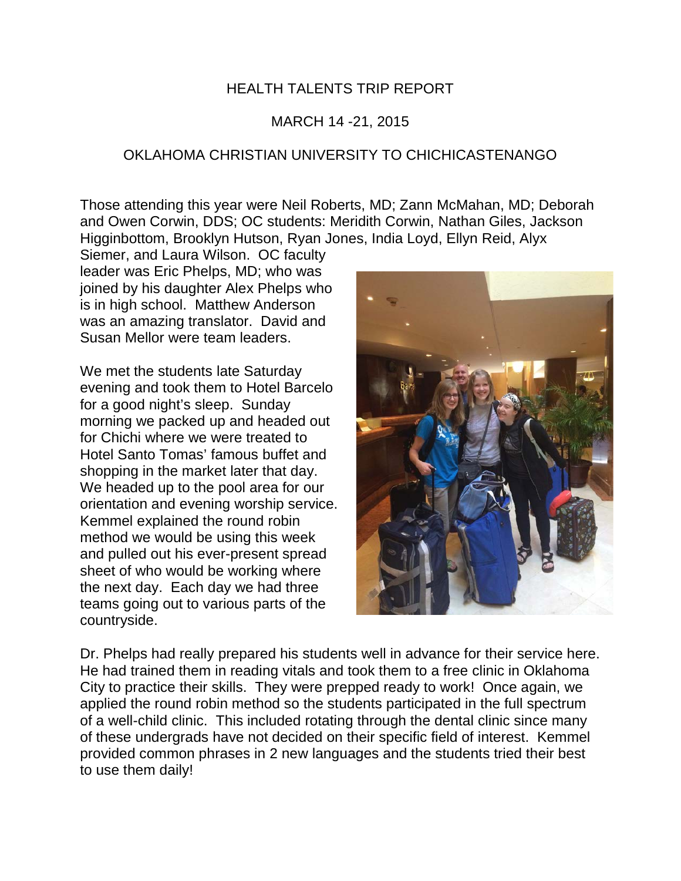## HEALTH TALENTS TRIP REPORT

## MARCH 14 -21, 2015

## OKLAHOMA CHRISTIAN UNIVERSITY TO CHICHICASTENANGO

Those attending this year were Neil Roberts, MD; Zann McMahan, MD; Deborah and Owen Corwin, DDS; OC students: Meridith Corwin, Nathan Giles, Jackson Higginbottom, Brooklyn Hutson, Ryan Jones, India Loyd, Ellyn Reid, Alyx

Siemer, and Laura Wilson. OC faculty leader was Eric Phelps, MD; who was joined by his daughter Alex Phelps who is in high school. Matthew Anderson was an amazing translator. David and Susan Mellor were team leaders.

We met the students late Saturday evening and took them to Hotel Barcelo for a good night's sleep. Sunday morning we packed up and headed out for Chichi where we were treated to Hotel Santo Tomas' famous buffet and shopping in the market later that day. We headed up to the pool area for our orientation and evening worship service. Kemmel explained the round robin method we would be using this week and pulled out his ever-present spread sheet of who would be working where the next day. Each day we had three teams going out to various parts of the countryside.



Dr. Phelps had really prepared his students well in advance for their service here. He had trained them in reading vitals and took them to a free clinic in Oklahoma City to practice their skills. They were prepped ready to work! Once again, we applied the round robin method so the students participated in the full spectrum of a well-child clinic. This included rotating through the dental clinic since many of these undergrads have not decided on their specific field of interest. Kemmel provided common phrases in 2 new languages and the students tried their best to use them daily!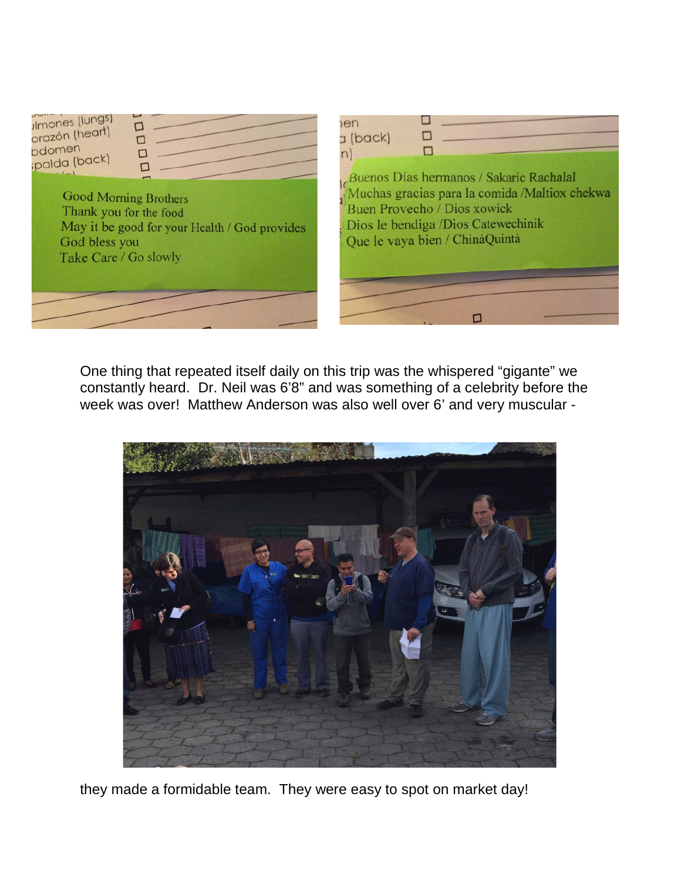

One thing that repeated itself daily on this trip was the whispered "gigante" we constantly heard. Dr. Neil was 6'8" and was something of a celebrity before the week was over! Matthew Anderson was also well over 6' and very muscular -



they made a formidable team. They were easy to spot on market day!